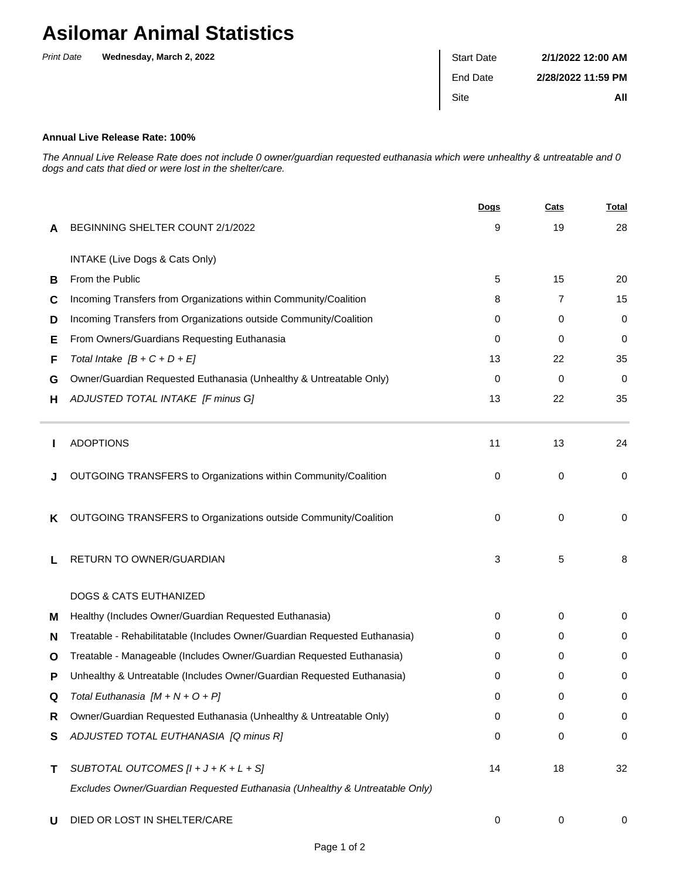## **Asilomar Animal Statistics**

| <b>Print Date</b> | Wednesday, March 2, 2022 | <b>Start Date</b> | 2/1/2022 12:00 AM  |
|-------------------|--------------------------|-------------------|--------------------|
|                   |                          | End Date          | 2/28/2022 11:59 PM |
|                   |                          | <b>Site</b>       | All                |
|                   |                          |                   |                    |

## **Annual Live Release Rate: 100%**

The Annual Live Release Rate does not include 0 owner/guardian requested euthanasia which were unhealthy & untreatable and 0 dogs and cats that died or were lost in the shelter/care.

|   |                                                                             | <b>Dogs</b> | Cats | <b>Total</b> |
|---|-----------------------------------------------------------------------------|-------------|------|--------------|
| A | BEGINNING SHELTER COUNT 2/1/2022                                            | 9           | 19   | 28           |
|   | INTAKE (Live Dogs & Cats Only)                                              |             |      |              |
| В | From the Public                                                             | 5           | 15   | 20           |
| C | Incoming Transfers from Organizations within Community/Coalition            | 8           | 7    | 15           |
| D | Incoming Transfers from Organizations outside Community/Coalition           | 0           | 0    | 0            |
| Е | From Owners/Guardians Requesting Euthanasia                                 | 0           | 0    | 0            |
| F | Total Intake $[B + C + D + E]$                                              | 13          | 22   | 35           |
| G | Owner/Guardian Requested Euthanasia (Unhealthy & Untreatable Only)          | 0           | 0    | $\mathbf 0$  |
| н | ADJUSTED TOTAL INTAKE [F minus G]                                           | 13          | 22   | 35           |
|   | <b>ADOPTIONS</b>                                                            | 11          | 13   | 24           |
|   | OUTGOING TRANSFERS to Organizations within Community/Coalition              | 0           | 0    | $\mathbf 0$  |
| K | OUTGOING TRANSFERS to Organizations outside Community/Coalition             | 0           | 0    | 0            |
| L | RETURN TO OWNER/GUARDIAN                                                    | 3           | 5    | 8            |
|   | <b>DOGS &amp; CATS EUTHANIZED</b>                                           |             |      |              |
| м | Healthy (Includes Owner/Guardian Requested Euthanasia)                      | 0           | 0    | 0            |
| N | Treatable - Rehabilitatable (Includes Owner/Guardian Requested Euthanasia)  | 0           | 0    | 0            |
| O | Treatable - Manageable (Includes Owner/Guardian Requested Euthanasia)       | 0           | 0    | 0            |
| P | Unhealthy & Untreatable (Includes Owner/Guardian Requested Euthanasia)      | 0           | 0    | 0            |
| Q | Total Euthanasia $[M + N + O + P]$                                          | 0           | 0    | 0            |
| R | Owner/Guardian Requested Euthanasia (Unhealthy & Untreatable Only)          | 0           | 0    | $\mathbf 0$  |
| S | ADJUSTED TOTAL EUTHANASIA [Q minus R]                                       | 0           | 0    | $\mathbf 0$  |
| Τ | SUBTOTAL OUTCOMES $[l + J + K + L + S]$                                     | 14          | 18   | 32           |
|   | Excludes Owner/Guardian Requested Euthanasia (Unhealthy & Untreatable Only) |             |      |              |
| U | DIED OR LOST IN SHELTER/CARE                                                | 0           | 0    | 0            |